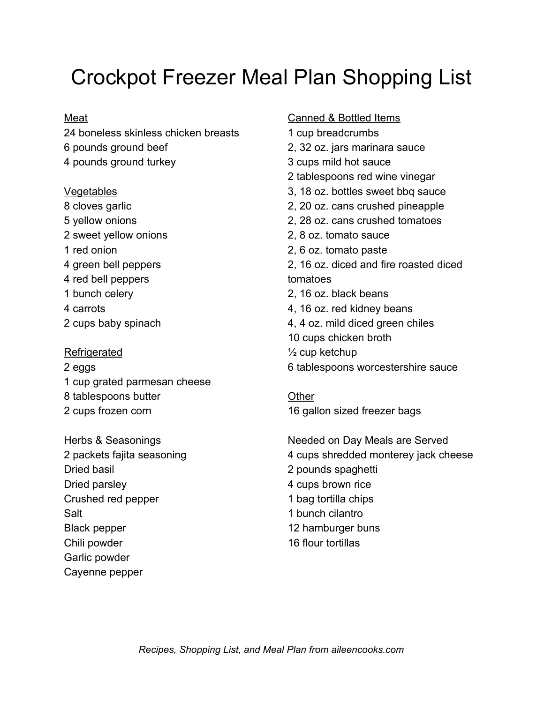# Crockpot Freezer Meal Plan Shopping List

#### Meat

24 boneless skinless chicken breasts 6 pounds ground beef 4 pounds ground turkey

#### **Vegetables**

- 8 cloves garlic 5 yellow onions
- 2 sweet yellow onions
- 1 red onion
- 4 green bell peppers
- 4 red bell peppers
- 1 bunch celery
- 4 carrots
- 2 cups baby spinach

#### Refrigerated

- 2 eggs 1 cup grated parmesan cheese 8 tablespoons butter 2 cups frozen corn
- Herbs & Seasonings 2 packets fajita seasoning Dried basil Dried parsley Crushed red pepper Salt Black pepper Chili powder Garlic powder Cayenne pepper

#### Canned & Bottled Items

1 cup breadcrumbs 2, 32 oz. jars marinara sauce 3 cups mild hot sauce 2 tablespoons red wine vinegar 3, 18 oz. bottles sweet bbq sauce 2, 20 oz. cans crushed pineapple 2, 28 oz. cans crushed tomatoes 2, 8 oz. tomato sauce 2, 6 oz. tomato paste 2, 16 oz. diced and fire roasted diced tomatoes 2, 16 oz. black beans 4, 16 oz. red kidney beans 4, 4 oz. mild diced green chiles 10 cups chicken broth  $\frac{1}{2}$  cup ketchup 6 tablespoons worcestershire sauce

**Other** 16 gallon sized freezer bags

#### Needed on Day Meals are Served 4 cups shredded monterey jack cheese

2 pounds spaghetti 4 cups brown rice 1 bag tortilla chips 1 bunch cilantro 12 hamburger buns 16 flour tortillas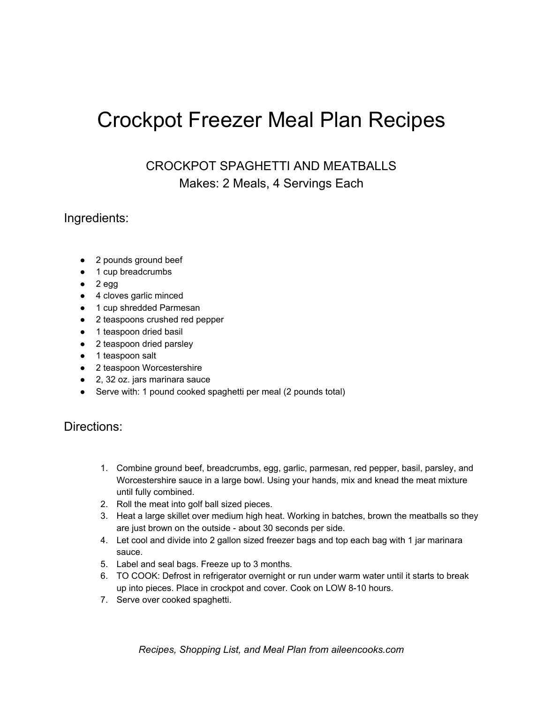# Crockpot Freezer Meal Plan Recipes

CROCKPOT SPAGHETTI AND MEATBALLS Makes: 2 Meals, 4 Servings Each

## Ingredients:

- 2 pounds ground beef
- 1 cup breadcrumbs
- $\bullet$  2 egg
- 4 cloves garlic minced
- 1 cup shredded Parmesan
- 2 teaspoons crushed red pepper
- 1 teaspoon dried basil
- 2 teaspoon dried parsley
- 1 teaspoon salt
- 2 teaspoon Worcestershire
- 2, 32 oz. jars marinara sauce
- Serve with: 1 pound cooked spaghetti per meal (2 pounds total)

- 1. Combine ground beef, breadcrumbs, egg, garlic, parmesan, red pepper, basil, parsley, and Worcestershire sauce in a large bowl. Using your hands, mix and knead the meat mixture until fully combined.
- 2. Roll the meat into golf ball sized pieces.
- 3. Heat a large skillet over medium high heat. Working in batches, brown the meatballs so they are just brown on the outside - about 30 seconds per side.
- 4. Let cool and divide into 2 gallon sized freezer bags and top each bag with 1 jar marinara sauce.
- 5. Label and seal bags. Freeze up to 3 months.
- 6. TO COOK: Defrost in refrigerator overnight or run under warm water until it starts to break up into pieces. Place in crockpot and cover. Cook on LOW 8-10 hours.
- 7. Serve over cooked spaghetti.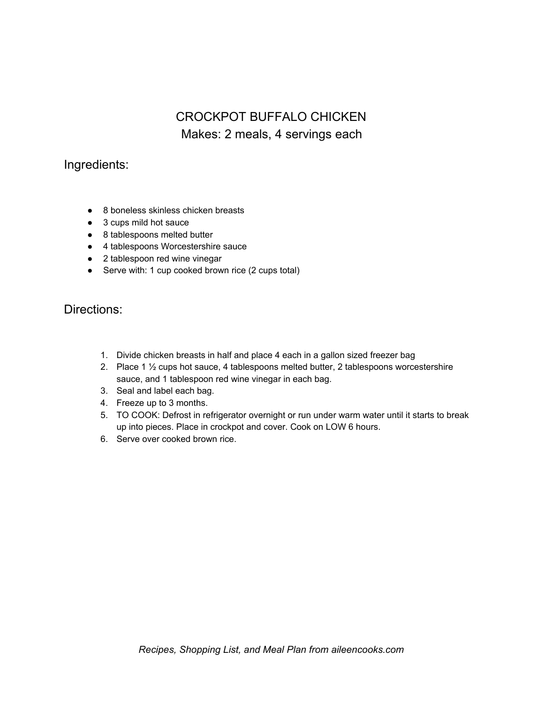## CROCKPOT BUFFALO CHICKEN Makes: 2 meals, 4 servings each

## Ingredients:

- 8 boneless skinless chicken breasts
- 3 cups mild hot sauce
- 8 tablespoons melted butter
- 4 tablespoons Worcestershire sauce
- 2 tablespoon red wine vinegar
- Serve with: 1 cup cooked brown rice (2 cups total)

- 1. Divide chicken breasts in half and place 4 each in a gallon sized freezer bag
- 2. Place 1  $\frac{1}{2}$  cups hot sauce, 4 tablespoons melted butter, 2 tablespoons worcestershire sauce, and 1 tablespoon red wine vinegar in each bag.
- 3. Seal and label each bag.
- 4. Freeze up to 3 months.
- 5. TO COOK: Defrost in refrigerator overnight or run under warm water until it starts to break up into pieces. Place in crockpot and cover. Cook on LOW 6 hours.
- 6. Serve over cooked brown rice.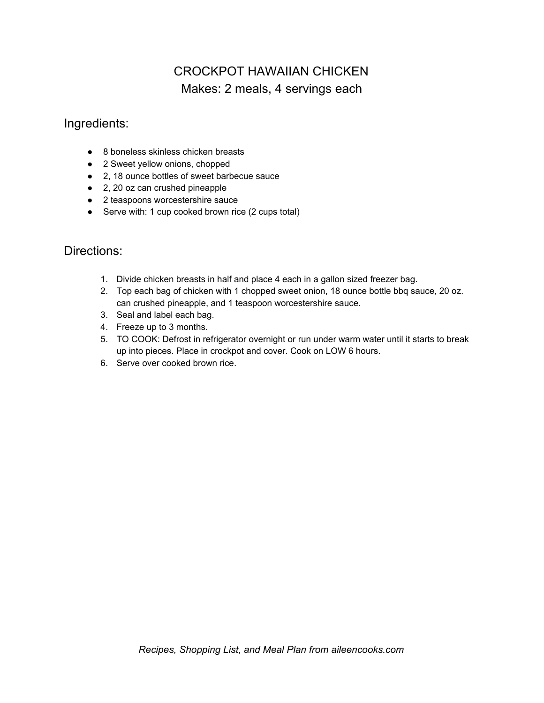# CROCKPOT HAWAIIAN CHICKEN Makes: 2 meals, 4 servings each

## Ingredients:

- 8 boneless skinless chicken breasts
- 2 Sweet yellow onions, chopped
- 2, 18 ounce bottles of sweet barbecue sauce
- 2, 20 oz can crushed pineapple
- 2 teaspoons worcestershire sauce
- Serve with: 1 cup cooked brown rice (2 cups total)

- 1. Divide chicken breasts in half and place 4 each in a gallon sized freezer bag.
- 2. Top each bag of chicken with 1 chopped sweet onion, 18 ounce bottle bbq sauce, 20 oz. can crushed pineapple, and 1 teaspoon worcestershire sauce.
- 3. Seal and label each bag.
- 4. Freeze up to 3 months.
- 5. TO COOK: Defrost in refrigerator overnight or run under warm water until it starts to break up into pieces. Place in crockpot and cover. Cook on LOW 6 hours.
- 6. Serve over cooked brown rice.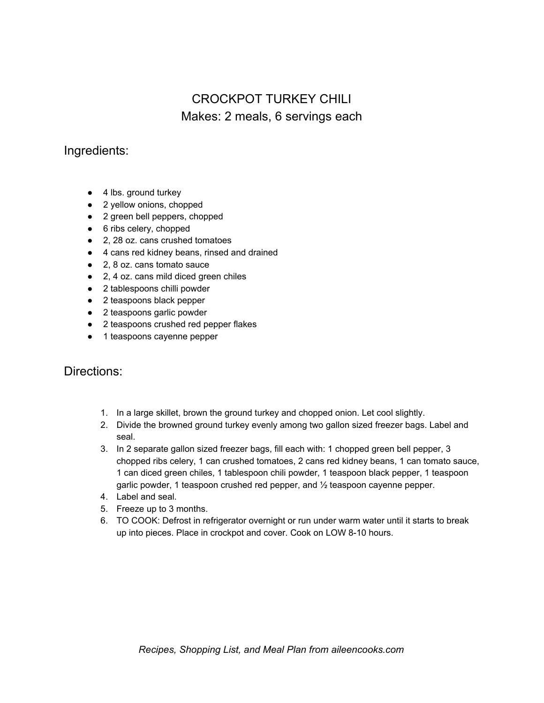# CROCKPOT TURKEY CHILI Makes: 2 meals, 6 servings each

## Ingredients:

- 4 lbs. ground turkey
- 2 yellow onions, chopped
- 2 green bell peppers, chopped
- 6 ribs celery, chopped
- 2, 28 oz. cans crushed tomatoes
- 4 cans red kidney beans, rinsed and drained
- 2, 8 oz. cans tomato sauce
- 2, 4 oz. cans mild diced green chiles
- 2 tablespoons chilli powder
- 2 teaspoons black pepper
- 2 teaspoons garlic powder
- 2 teaspoons crushed red pepper flakes
- 1 teaspoons cayenne pepper

- 1. In a large skillet, brown the ground turkey and chopped onion. Let cool slightly.
- 2. Divide the browned ground turkey evenly among two gallon sized freezer bags. Label and seal.
- 3. In 2 separate gallon sized freezer bags, fill each with: 1 chopped green bell pepper, 3 chopped ribs celery, 1 can crushed tomatoes, 2 cans red kidney beans, 1 can tomato sauce, 1 can diced green chiles, 1 tablespoon chili powder, 1 teaspoon black pepper, 1 teaspoon garlic powder, 1 teaspoon crushed red pepper, and ½ teaspoon cayenne pepper.
- 4. Label and seal.
- 5. Freeze up to 3 months.
- 6. TO COOK: Defrost in refrigerator overnight or run under warm water until it starts to break up into pieces. Place in crockpot and cover. Cook on LOW 8-10 hours.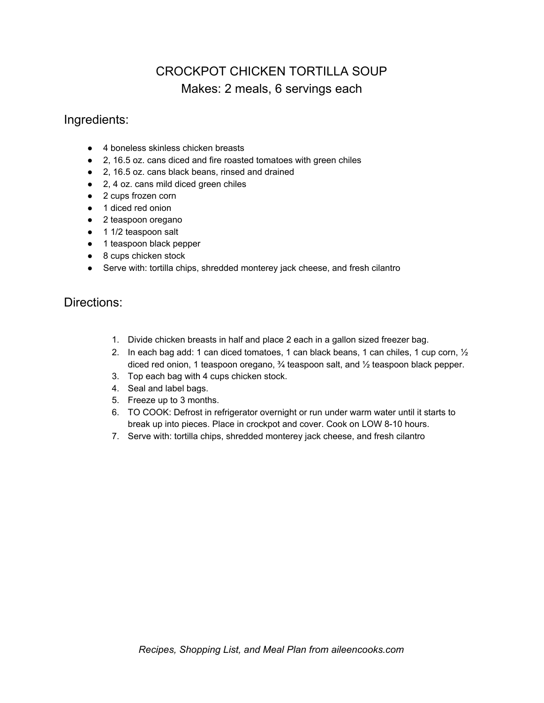# CROCKPOT CHICKEN TORTILLA SOUP Makes: 2 meals, 6 servings each

#### Ingredients:

- 4 boneless skinless chicken breasts
- 2, 16.5 oz. cans diced and fire roasted tomatoes with green chiles
- 2, 16.5 oz. cans black beans, rinsed and drained
- 2, 4 oz. cans mild diced green chiles
- 2 cups frozen corn
- 1 diced red onion
- 2 teaspoon oregano
- 1 1/2 teaspoon salt
- 1 teaspoon black pepper
- 8 cups chicken stock
- Serve with: tortilla chips, shredded monterey jack cheese, and fresh cilantro

- 1. Divide chicken breasts in half and place 2 each in a gallon sized freezer bag.
- 2. In each bag add: 1 can diced tomatoes, 1 can black beans, 1 can chiles, 1 cup corn,  $\frac{1}{2}$ diced red onion, 1 teaspoon oregano, ¾ teaspoon salt, and ½ teaspoon black pepper.
- 3. Top each bag with 4 cups chicken stock.
- 4. Seal and label bags.
- 5. Freeze up to 3 months.
- 6. TO COOK: Defrost in refrigerator overnight or run under warm water until it starts to break up into pieces. Place in crockpot and cover. Cook on LOW 8-10 hours.
- 7. Serve with: tortilla chips, shredded monterey jack cheese, and fresh cilantro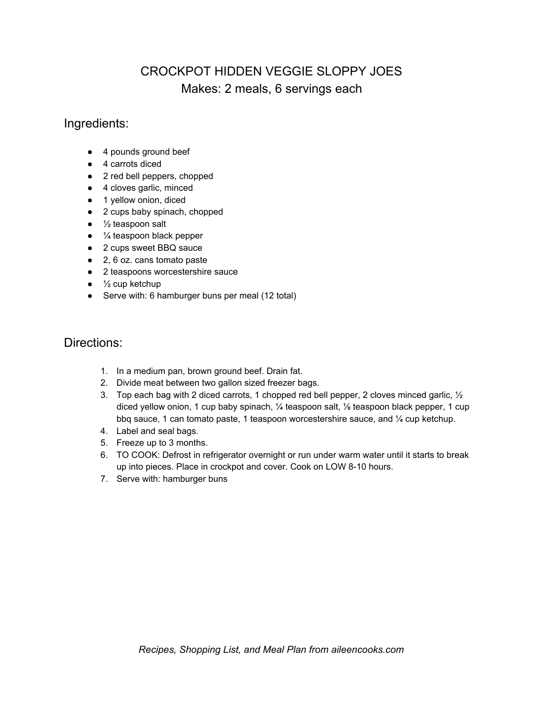# CROCKPOT HIDDEN VEGGIE SLOPPY JOES Makes: 2 meals, 6 servings each

#### Ingredients:

- 4 pounds ground beef
- 4 carrots diced
- 2 red bell peppers, chopped
- 4 cloves garlic, minced
- 1 yellow onion, diced
- 2 cups baby spinach, chopped
- $\bullet$  % teaspoon salt
- $\bullet$   $\frac{1}{4}$  teaspoon black pepper
- 2 cups sweet BBQ sauce
- 2, 6 oz. cans tomato paste
- 2 teaspoons worcestershire sauce
- $\bullet$   $\frac{1}{2}$  cup ketchup
- Serve with: 6 hamburger buns per meal (12 total)

- 1. In a medium pan, brown ground beef. Drain fat.
- 2. Divide meat between two gallon sized freezer bags.
- 3. Top each bag with 2 diced carrots, 1 chopped red bell pepper, 2 cloves minced garlic,  $\frac{1}{2}$ diced yellow onion, 1 cup baby spinach, ¼ teaspoon salt, ⅛ teaspoon black pepper, 1 cup bbq sauce, 1 can tomato paste, 1 teaspoon worcestershire sauce, and ¼ cup ketchup.
- 4. Label and seal bags.
- 5. Freeze up to 3 months.
- 6. TO COOK: Defrost in refrigerator overnight or run under warm water until it starts to break up into pieces. Place in crockpot and cover. Cook on LOW 8-10 hours.
- 7. Serve with: hamburger buns